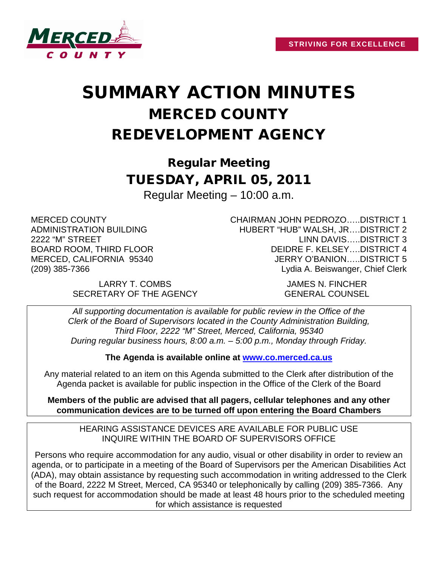

# SUMMARY ACTION MINUTES MERCED COUNTY REDEVELOPMENT AGENCY

Regular Meeting TUESDAY, APRIL 05, 2011 Regular Meeting – 10:00 a.m.

MERCED COUNTY ADMINISTRATION BUILDING 2222 "M" STREET BOARD ROOM, THIRD FLOOR MERCED, CALIFORNIA 95340 (209) 385-7366

> LARRY T. COMBS JAMES N. FINCHER SECRETARY OF THE AGENCY GENERAL COUNSEL

CHAIRMAN JOHN PEDROZO…..DISTRICT 1 HUBERT "HUB" WALSH, JR….DISTRICT 2 LINN DAVIS…..DISTRICT 3 DEIDRE F. KELSEY….DISTRICT 4 JERRY O'BANION…..DISTRICT 5 Lydia A. Beiswanger, Chief Clerk

*All supporting documentation is available for public review in the Office of the Clerk of the Board of Supervisors located in the County Administration Building, Third Floor, 2222 "M" Street, Merced, California, 95340 During regular business hours, 8:00 a.m. – 5:00 p.m., Monday through Friday.*

**The Agenda is available online at [www.co.merced.ca.us](http://www.co.merced.ca.us/)**

Any material related to an item on this Agenda submitted to the Clerk after distribution of the Agenda packet is available for public inspection in the Office of the Clerk of the Board

**Members of the public are advised that all pagers, cellular telephones and any other communication devices are to be turned off upon entering the Board Chambers**

HEARING ASSISTANCE DEVICES ARE AVAILABLE FOR PUBLIC USE INQUIRE WITHIN THE BOARD OF SUPERVISORS OFFICE

Persons who require accommodation for any audio, visual or other disability in order to review an agenda, or to participate in a meeting of the Board of Supervisors per the American Disabilities Act (ADA), may obtain assistance by requesting such accommodation in writing addressed to the Clerk of the Board, 2222 M Street, Merced, CA 95340 or telephonically by calling (209) 385-7366. Any such request for accommodation should be made at least 48 hours prior to the scheduled meeting for which assistance is requested